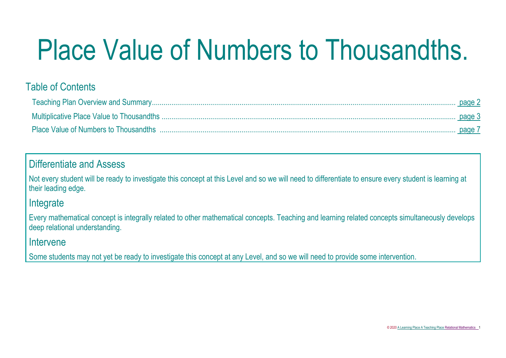# Place Value of Numbers to Thousandths.

# Table of Contents

## Differentiate and Assess

Not every student will be ready to investigate this concept at this Level and so we will need to differentiate to ensure every student is learning at their leading edge.

### Integrate

Every mathematical concept is integrally related to other mathematical concepts. Teaching and learning related concepts simultaneously develops deep relational understanding.

### Intervene

Some students may not yet be ready to investigate this concept at any Level, and so we will need to provide some intervention.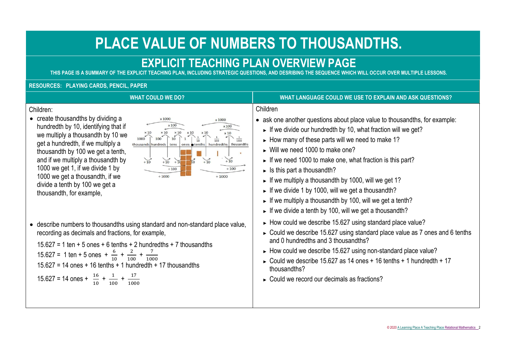# **PLACE VALUE OF NUMBERS TO THOUSANDTHS.**

# **EXPLICIT TEACHING PLAN OVERVIEW PAGE**

<span id="page-1-0"></span>**THIS PAGE IS A SUMMARY OF THE EXPLICIT TEACHING PLAN, INCLUDING STRATEGIC QUESTIONS, AND DESRIBING THE SEQUENCE WHICH WILL OCCUR OVER MULTIPLE LESSONS.**

#### **RESOURCES: PLAYING CARDS, PENCIL, PAPER**

#### Children:

• create thousandths by dividing a hundredth by 10, identifying that if we multiply a thousandth by 10 we get a hundredth, if we multiply a thousandth by 100 we get a tenth, and if we multiply a thousandth by 1000 we get 1, if we divide 1 by 1000 we get a thousandth, if we divide a tenth by 100 we get a thousandth, for example,



• describe numbers to thousandths using standard and non-standard place value, recording as decimals and fractions, for example,

 $15.627 = 1$  ten  $+ 5$  ones  $+ 6$  tenths  $+ 2$  hundredths  $+ 7$  thousandths

15.627 = 1 ten + 5 ones +  $\frac{6}{10}$  +  $\frac{2}{10}$  $\frac{2}{100} + \frac{7}{100}$ 1000 15.627 = 14 ones + 16 tenths + 1 hundredth + 17 thousandths

 $15.627 = 14$  ones +  $\frac{16}{10}$  +  $\frac{1}{10}$  $\frac{1}{100} + \frac{17}{100}$ 1000

#### **WHAT COULD WE DO? WHAT LANGUAGE COULD WE USE TO EXPLAIN AND ASK QUESTIONS?**

#### Children

- ask one another questions about place value to thousandths, for example:
	- $\blacktriangleright$  If we divide our hundredth by 10, what fraction will we get?
	- ► How many of these parts will we need to make 1?
	- ► Will we need 1000 to make one?
	- ► If we need 1000 to make one, what fraction is this part?
	- ► Is this part a thousandth?
	- ► If we multiply a thousandth by 1000, will we get 1?
	- $\blacktriangleright$  If we divide 1 by 1000, will we get a thousandth?
	- ► If we multiply a thousandth by 100, will we get a tenth?
	- ► If we divide a tenth by 100, will we get a thousandth?
	- ► How could we describe 15.627 using standard place value?
	- ► Could we describe 15.627 using standard place value as 7 ones and 6 tenths and 0 hundredths and 3 thousandths?
	- ► How could we describe 15.627 using non-standard place value?
	- ► Could we describe 15.627 as 14 ones + 16 tenths + 1 hundredth + 17 thousandths?
	- ► Could we record our decimals as fractions?

© 2020 [A Learning Place A Teaching Place Relational Mathematics](http://www.alearningplace.com.au/) 2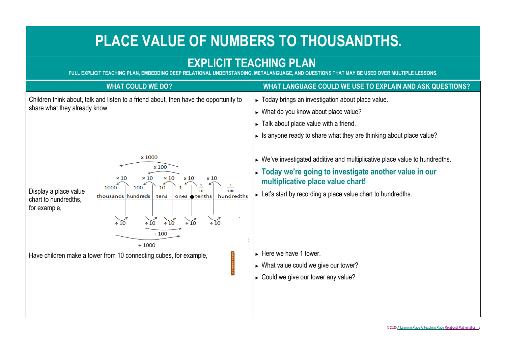# **PLACE VALUE OF NUMBERS TO THOUSANDTHS.**

# <span id="page-2-0"></span>**EXPLICIT TEACHING PLAN**

**FULL EXPLICIT TEACHING PLAN, EMBEDDING DEEP RELATIONAL UNDERSTANDING, METALANGUAGE, AND QUESTIONS THAT MAY BE USED OVER MULTIPLE LESSONS.**

| <b>WHAT COULD WE DO?</b>                                                                                                                                                                                                                                                                                                                                                          | WHAT LANGUAGE COULD WE USE TO EXPLAIN AND ASK QUESTIONS?                                                                                                                                                                                                    |
|-----------------------------------------------------------------------------------------------------------------------------------------------------------------------------------------------------------------------------------------------------------------------------------------------------------------------------------------------------------------------------------|-------------------------------------------------------------------------------------------------------------------------------------------------------------------------------------------------------------------------------------------------------------|
| Children think about, talk and listen to a friend about, then have the opportunity to<br>share what they already know.                                                                                                                                                                                                                                                            | ► Today brings an investigation about place value.<br>$\triangleright$ What do you know about place value?<br>$\triangleright$ Talk about place value with a friend.<br>$\triangleright$ Is anyone ready to share what they are thinking about place value? |
| x 1000<br>x 100<br>$\times$ 10<br>$\times$ 10<br>$\times 10$<br>$\times 10$<br>x 10<br>$\frac{1}{100}$<br>1000<br>10<br>100<br>$\overline{10}$<br>Display a place value<br>thousands hundreds<br>hundredths<br>ones <b>o</b> tenths<br>tens<br>chart to hundredths,<br>for example,<br>$\div 10$<br>$\div 10$<br>$\div 10$<br>$\div 10$<br>$\div$ 10<br>$\div 100$<br>$\div 1000$ | $\triangleright$ We've investigated additive and multiplicative place value to hundredths.<br>Today we're going to investigate another value in our<br>multiplicative place value chart!<br>► Let's start by recording a place value chart to hundredths.   |
| Have children make a tower from 10 connecting cubes, for example,                                                                                                                                                                                                                                                                                                                 | $\blacktriangleright$ Here we have 1 tower.<br>$\triangleright$ What value could we give our tower?<br>Could we give our tower any value?                                                                                                                   |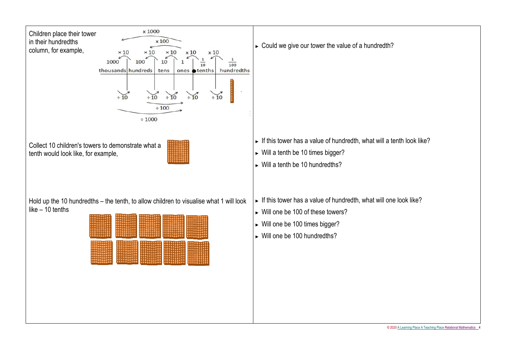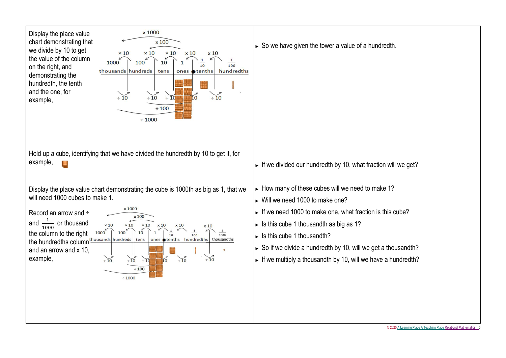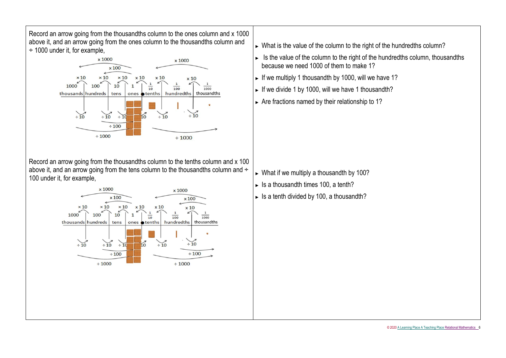Record an arrow going from the thousandths column to the ones column and x 1000 above it, and an arrow going from the ones column to the thousandths column and ÷ 1000 under it, for example,



Record an arrow going from the thousandths column to the tenths column and x 100 above it, and an arrow going from the tens column to the thousandths column and ÷ 100 under it, for example,



- ► What is the value of the column to the right of the hundredths column?
- ► Is the value of the column to the right of the hundredths column, thousandths because we need 1000 of them to make 1?
- ► If we multiply 1 thousandth by 1000, will we have 1?
- ► If we divide 1 by 1000, will we have 1 thousandth?
- ► Are fractions named by their relationship to 1?

- ► What if we multiply a thousandth by 100?
- ► Is a thousandth times 100, a tenth?
- $\blacktriangleright$  Is a tenth divided by 100, a thousandth?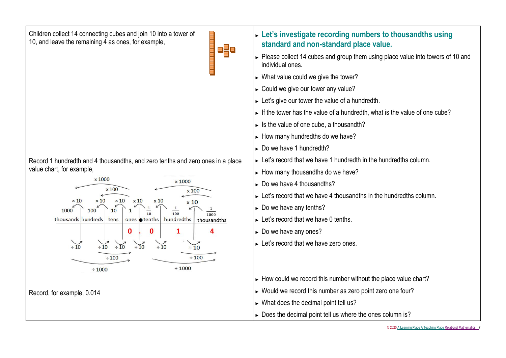Children collect 14 connecting cubes and join 10 into a tower of 10, and leave the remaining 4 as ones, for example,

|--|--|

 $\blacksquare$ 

Record 1 hundredth and 4 thousandths, and zero tenths and zero ones in a place value chart, for example,



- <span id="page-6-0"></span>► **Let's investigate recording numbers to thousandths using standard and non-standard place value.**
- ► Please collect 14 cubes and group them using place value into towers of 10 and individual ones.
- ► What value could we give the tower?
- ► Could we give our tower any value?
- ► Let's give our tower the value of a hundredth.
- $\blacktriangleright$  If the tower has the value of a hundredth, what is the value of one cube?
- ► Is the value of one cube, a thousandth?
- ► How many hundredths do we have?
- ► Do we have 1 hundredth?
- ► Let's record that we have 1 hundredth in the hundredths column.
- ► How many thousandths do we have?
- ► Do we have 4 thousandths?
- ► Let's record that we have 4 thousandths in the hundredths column.
- ► Do we have any tenths?
- ► Let's record that we have 0 tenths.
- ► Do we have any ones?
- ► Let's record that we have zero ones.
- ► How could we record this number without the place value chart?
- ► Would we record this number as zero point zero one four?
- ► What does the decimal point tell us?
- ► Does the decimal point tell us where the ones column is?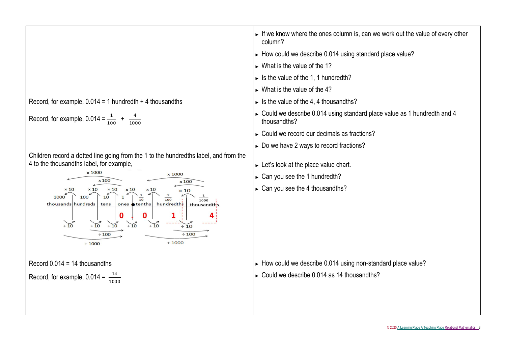|                                                                                                                                                                                                                                                                                                                                                                            | If we know where the ones column is, can we work out the value of every other<br>column?                 |
|----------------------------------------------------------------------------------------------------------------------------------------------------------------------------------------------------------------------------------------------------------------------------------------------------------------------------------------------------------------------------|----------------------------------------------------------------------------------------------------------|
|                                                                                                                                                                                                                                                                                                                                                                            | $\triangleright$ How could we describe 0.014 using standard place value?                                 |
|                                                                                                                                                                                                                                                                                                                                                                            | $\triangleright$ What is the value of the 1?                                                             |
|                                                                                                                                                                                                                                                                                                                                                                            | $\triangleright$ Is the value of the 1, 1 hundredth?                                                     |
|                                                                                                                                                                                                                                                                                                                                                                            | $\triangleright$ What is the value of the 4?                                                             |
| Record, for example, $0.014 = 1$ hundredth + 4 thousandths                                                                                                                                                                                                                                                                                                                 | $\triangleright$ Is the value of the 4, 4 thousandths?                                                   |
| Record, for example, $0.014 = \frac{1}{100} + \frac{4}{1000}$                                                                                                                                                                                                                                                                                                              | $\triangleright$ Could we describe 0.014 using standard place value as 1 hundredth and 4<br>thousandths? |
|                                                                                                                                                                                                                                                                                                                                                                            | ► Could we record our decimals as fractions?                                                             |
|                                                                                                                                                                                                                                                                                                                                                                            | Do we have 2 ways to record fractions?                                                                   |
| Children record a dotted line going from the 1 to the hundredths label, and from the<br>4 to the thousandths label, for example,<br>x 1000<br>x 1000                                                                                                                                                                                                                       | $\triangleright$ Let's look at the place value chart.                                                    |
| $\times 100$<br>$\times 100$                                                                                                                                                                                                                                                                                                                                               | $\triangleright$ Can you see the 1 hundredth?                                                            |
| $\times 10$<br>$\times 10$<br>x 10<br>$\times 10$<br>$\mathbf{1}$<br>10<br>1000<br>100<br>$\overline{100}$<br>$\overline{10}$<br>1000<br>hundredths<br>thousands hundreds<br>ones <b>o</b> tenths<br>tens<br>thousandths<br>0<br>1<br>$\div 10$<br>$\div 10$<br>$\div 10$<br>$\div 10$<br>$\div 10$<br>$\div 10$<br>$\div 100$<br>$\div 100$<br>$\div 1000$<br>$\div 1000$ | $\triangleright$ Can you see the 4 thousandths?                                                          |
| Record $0.014 = 14$ thousandths                                                                                                                                                                                                                                                                                                                                            | How could we describe 0.014 using non-standard place value?                                              |
| Record, for example, $0.014 = \frac{14}{1000}$                                                                                                                                                                                                                                                                                                                             | $\triangleright$ Could we describe 0.014 as 14 thousandths?                                              |
|                                                                                                                                                                                                                                                                                                                                                                            |                                                                                                          |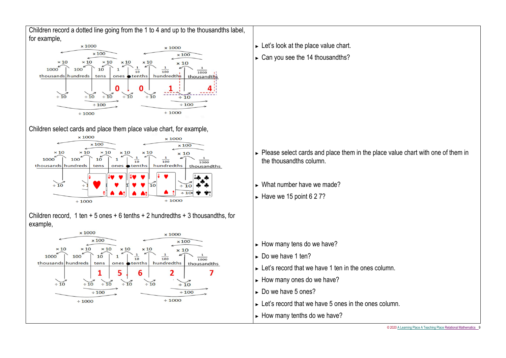Children record a dotted line going from the 1 to 4 and up to the thousandths label, for example,



Children select cards and place them place value chart, for example,



Children record, 1 ten  $+5$  ones  $+6$  tenths  $+2$  hundredths  $+3$  thousandths, for example,



- ► Let's look at the place value chart.
- ► Can you see the 14 thousandths?

- ► Please select cards and place them in the place value chart with one of them in the thousandths column.
- ► What number have we made?
- $\blacktriangleright$  Have we 15 point 6 2 7?

- ► How many tens do we have?
- ► Do we have 1 ten?
- ► Let's record that we have 1 ten in the ones column.
- ► How many ones do we have?
- ► Do we have 5 ones?
- ► Let's record that we have 5 ones in the ones column.
- ► How many tenths do we have?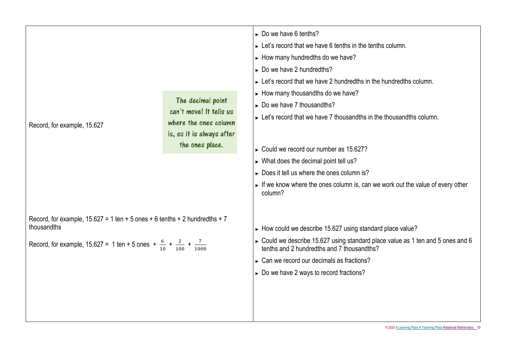|                                                                                                    |                                                  | $\triangleright$ Do we have 6 tenths?                                                                                         |
|----------------------------------------------------------------------------------------------------|--------------------------------------------------|-------------------------------------------------------------------------------------------------------------------------------|
|                                                                                                    |                                                  | $\triangleright$ Let's record that we have 6 tenths in the tenths column.                                                     |
|                                                                                                    |                                                  | How many hundredths do we have?                                                                                               |
|                                                                                                    |                                                  | $\triangleright$ Do we have 2 hundredths?                                                                                     |
|                                                                                                    |                                                  | ► Let's record that we have 2 hundredths in the hundredths column.                                                            |
|                                                                                                    |                                                  | $\triangleright$ How many thousandths do we have?                                                                             |
|                                                                                                    | The decimal point                                | $\triangleright$ Do we have 7 thousandths?                                                                                    |
|                                                                                                    | can't move! It tells us<br>where the ones column | $\triangleright$ Let's record that we have 7 thousandths in the thousandths column.                                           |
| Record, for example, 15.627                                                                        | is, so it is always after                        |                                                                                                                               |
|                                                                                                    | the ones place.                                  |                                                                                                                               |
|                                                                                                    |                                                  | Could we record our number as 15.627?                                                                                         |
|                                                                                                    |                                                  | $\triangleright$ What does the decimal point tell us?                                                                         |
|                                                                                                    |                                                  | Does it tell us where the ones column is?                                                                                     |
|                                                                                                    |                                                  | If we know where the ones column is, can we work out the value of every other<br>column?                                      |
| Record, for example, $15.627 = 1$ ten $+ 5$ ones $+ 6$ tenths $+ 2$ hundredths $+ 7$               |                                                  |                                                                                                                               |
| thousandths                                                                                        |                                                  | $\triangleright$ How could we describe 15.627 using standard place value?                                                     |
| Record, for example, 15.627 = 1 ten + 5 ones + $\frac{6}{10}$ + $\frac{2}{100}$ + $\frac{7}{1000}$ |                                                  | ► Could we describe 15.627 using standard place value as 1 ten and 5 ones and 6<br>tenths and 2 hundredths and 7 thousandths? |
|                                                                                                    |                                                  | $\triangleright$ Can we record our decimals as fractions?                                                                     |
|                                                                                                    |                                                  | Do we have 2 ways to record fractions?                                                                                        |
|                                                                                                    |                                                  |                                                                                                                               |
|                                                                                                    |                                                  |                                                                                                                               |
|                                                                                                    |                                                  |                                                                                                                               |
|                                                                                                    |                                                  |                                                                                                                               |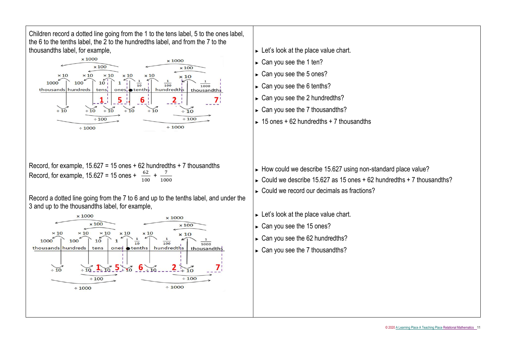Children record a dotted line going from the 1 to the tens label, 5 to the ones label, the 6 to the tenths label, the 2 to the hundredths label, and from the 7 to the thousandths label, for example,



Record, for example,  $15.627 = 15$  ones  $+62$  hundredths  $+7$  thousandths Record, for example, 15.627 = 15 ones +  $\frac{62}{100}$  +  $\frac{7}{100}$ 1000

Record a dotted line going from the 7 to 6 and up to the tenths label, and under the 3 and up to the thousandths label, for example,



#### ► Let's look at the place value chart.

- ► Can you see the 1 ten?
- ► Can you see the 5 ones?
- ► Can you see the 6 tenths?
- ► Can you see the 2 hundredths?
- ► Can you see the 7 thousandths?
- $\approx$  15 ones + 62 hundredths + 7 thousandths

- ► How could we describe 15.627 using non-standard place value?
- ► Could we describe 15.627 as 15 ones  $+62$  hundredths  $+7$  thousandths?
- ► Could we record our decimals as fractions?
- ► Let's look at the place value chart.
- ► Can you see the 15 ones?
- ► Can you see the 62 hundredths?
- ► Can you see the 7 thousandths?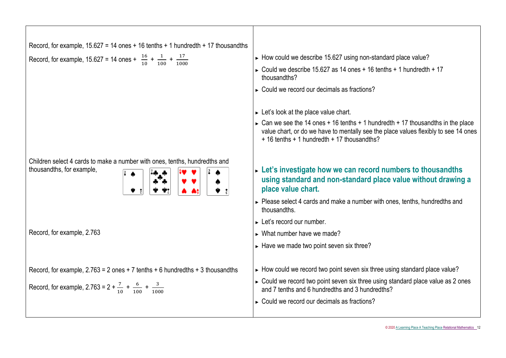| Record, for example, $15.627 = 14$ ones + 16 tenths + 1 hundredth + 17 thousandths                      |                                                                                                                                                                                                                        |
|---------------------------------------------------------------------------------------------------------|------------------------------------------------------------------------------------------------------------------------------------------------------------------------------------------------------------------------|
| Record, for example, 15.627 = 14 ones + $\frac{16}{10}$ + $\frac{1}{100}$ + $\frac{17}{1000}$           | ► How could we describe 15.627 using non-standard place value?                                                                                                                                                         |
|                                                                                                         | ► Could we describe 15.627 as 14 ones + 16 tenths + 1 hundredth + 17<br>thousandths?                                                                                                                                   |
|                                                                                                         | ► Could we record our decimals as fractions?                                                                                                                                                                           |
|                                                                                                         | $\triangleright$ Let's look at the place value chart.                                                                                                                                                                  |
|                                                                                                         | ► Can we see the 14 ones + 16 tenths + 1 hundredth + 17 thousandths in the place<br>value chart, or do we have to mentally see the place values flexibly to see 14 ones<br>+ 16 tenths + 1 hundredth + 17 thousandths? |
| Children select 4 cards to make a number with ones, tenths, hundredths and<br>thousandths, for example, | $\triangleright$ Let's investigate how we can record numbers to thousandths<br>using standard and non-standard place value without drawing a<br>place value chart.                                                     |
|                                                                                                         | $\triangleright$ Please select 4 cards and make a number with ones, tenths, hundredths and<br>thousandths.                                                                                                             |
|                                                                                                         | $\blacktriangleright$ Let's record our number.                                                                                                                                                                         |
| Record, for example, 2.763                                                                              | $\triangleright$ What number have we made?                                                                                                                                                                             |
|                                                                                                         | $\triangleright$ Have we made two point seven six three?                                                                                                                                                               |
| Record, for example, $2.763 = 2$ ones $+ 7$ tenths $+ 6$ hundredths $+ 3$ thousandths                   | ► How could we record two point seven six three using standard place value?                                                                                                                                            |
| Record, for example, 2.763 = $2 + \frac{7}{10} + \frac{6}{100} + \frac{3}{1000}$                        | ► Could we record two point seven six three using standard place value as 2 ones<br>and 7 tenths and 6 hundredths and 3 hundredths?                                                                                    |
|                                                                                                         | $\triangleright$ Could we record our decimals as fractions?                                                                                                                                                            |